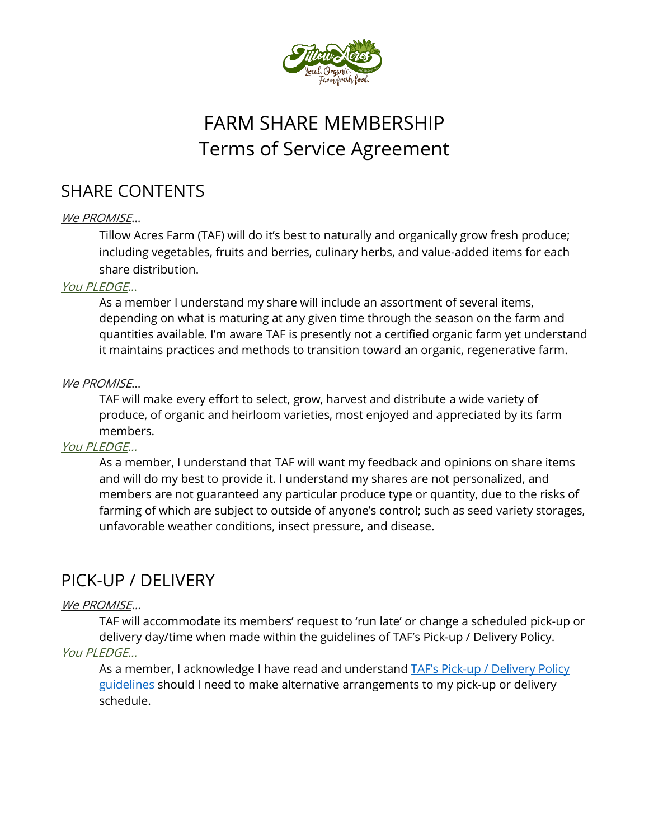

# FARM SHARE MEMBERSHIP Terms of Service Agreement

# SHARE CONTENTS

### We PROMISE…

Tillow Acres Farm (TAF) will do it's best to naturally and organically grow fresh produce; including vegetables, fruits and berries, culinary herbs, and value-added items for each share distribution.

#### You PLEDGE…

As a member I understand my share will include an assortment of several items, depending on what is maturing at any given time through the season on the farm and quantities available. I'm aware TAF is presently not a certified organic farm yet understand it maintains practices and methods to transition toward an organic, regenerative farm.

#### We PROMISE...

TAF will make every effort to select, grow, harvest and distribute a wide variety of produce, of organic and heirloom varieties, most enjoyed and appreciated by its farm members.

#### You PLEDGE…

As a member, I understand that TAF will want my feedback and opinions on share items and will do my best to provide it. I understand my shares are not personalized, and members are not guaranteed any particular produce type or quantity, due to the risks of farming of which are subject to outside of anyone's control; such as seed variety storages, unfavorable weather conditions, insect pressure, and disease.

# PICK-UP / DELIVERY

### We PROMISE…

TAF will accommodate its members' request to 'run late' or change a scheduled pick-up or delivery day/time when made within the guidelines of TAF's Pick-up / Delivery Policy. You PLEDGE…

As a member, I acknowledge I have read and understand TAF's Pick-up / Delivery Policy [guidelines](https://12ec4d2c-b171-47f6-9ec1-4a60f7188e74.filesusr.com/ugd/196134_05dff657d979477f8b318654f54b3c0c.pdf) should I need to make alternative arrangements to my pick-up or delivery schedule.